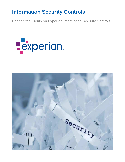## **Information Security Controls**

Briefing for Clients on Experian Information Security Controls



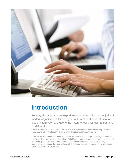

# **Introduction**

Security sits at the core of Experian's operations. The vast majority of modern organisations face a significant number of risks relating to loss of information and due to the nature of our business, Experian is no different.

In order to defend our data from such risks, Experian has developed a best of breed security framework based around ISO27001; the cornerstone of which is our information security policy.

As well as our commitment to ensuring that our staff continues to meet our high standards, we have also made a significant investment in establishing a Global Security function to ensure that security is embedded within our day to day activities across the world. The rest of this document is aimed at explaining this security framework in more detail and we hope will demonstrate the Experian commitment to maintaining the security of the data that we hold.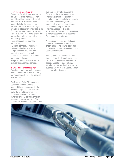### 1. Information security policy

The Global Security Policy is owned by the Experian global risk management committee which is an executive level body, and which assumes ultimate responsibility for the Experian risk position. The Global Security Policy is available to all Experian employees on the Corporate Intranet. The Global Security Policy is reviewed regularly to ensure they are consistent with, and properly address, the following concerns:

- Business needs and business environment;

- External technology environment;

- Internal technology environment; - Legal, statutory, regulatory and
- contractual requirements; and

- Other requirements specific to new or unique circumstances

If required, security standards will be updated to include these controls.

### 2. Organisation and management

Experian has achieved and subsequently retained certification to ISO/IEC 27001, having successfully made the transition from BS 7799.

The Experian Global Risk Management Committee assumes ultimate responsibility and sponsorship for the Experian risk posture at an executive level. The Global Security Steering Committee assumes operational ownership of the Experian information security policies and standards. The Global Chief Information Security Officer oversees and provides guidance to Experian for the overall development, implementation and coordination of security for systems and physical security. This role is supported by the Global Security Office staff and business unit information security officers. All information assets such as data, applications, software and hardware have a steward appointed who is responsible for ensuring the asset's security.

Management supports security through leadership statements, actions and endorsement of the security policy and implementation/ improvement the controls specified in the policy.

Security roles are defined in the Global Security Policy. Each employee, whether permanent or temporary, is responsible for security. Specific business information security roles are also in place in lines of business, i.e. Information Security Officer and Information Stewards.

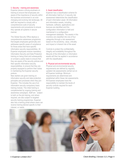### 3. Security – training and awareness

Experian places a strong emphasis on training to ensure that employees are aware of the importance of security within the business environment in an ever changing and evolving risk landscape. All staff are required to comply with a comprehensive suite of security requirements and procedures to ensure they operate all systems in secure manner.

The Global Security Office deploys a comprehensive awareness programme that targets employees generically and addresses specific areas of compliance for those areas that have specific information security responsibilities. All Experian employees receive mandatory Information Security and Data Protection training on being hired and subsequently on at least a yearly basis to ensure that they are aware of the security policies and their specific information security responsibilities, to ensure that they are properly equipped to perform their duties in maintaining the Experian security posture.

New starters are given training on information security and data protection principles and processes when they join Experian. This includes the use of an information security compulsory basic training module. The initial training is complemented by ongoing training and awareness campaigns. Staff are subject to both on the job training, and where required, are also subject to targeted security training programmes. Experian also has a training portal where users can receive training tailored specific to their interest, or needs.

### 4. Asset classification

Experian has a classification scheme for all information held by it. A security risk assessment determines the classification of each information asset. All information and information assets, including hardware, software, applications and licences are identified and this configuration information is held and maintained in a configuration management database. The assets in this inventory are classified into one of four categories through a risk assessment based on the sensitivity, value, criticality and impact or inherent risk of the asset.

Controls to protect the confidentiality, integrity and availability throughout the lifecycle of the information or information assets will then be applied in accordance with the classification.

### 5. Physical and environmental security

Physical and environmental security requirements are defined by regularly updated risk assessments carried out on all Experian buildings. Minimum requirements are determined and established within these risk assessments. All Experian employees have the responsibility to maintain the levels of security controls required for each Experian building.

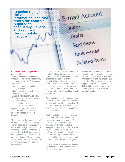**Experian recognises the value of information, and that drives the controls required to adequately manage and secure it throughout its lifecycle**

E-mail Account

Inbox

Drafts Sent items Junk e-mail Deleted items

### 6. Communications and operations management

Experian has detailed processes and procedures to ensure the confidentiality, integrity and availability of its systems. These include:

- System monitoring and logging
- Change management
- Intrusion detection, prevention and incident management
- Virus and malicious software defence
- Segregation of duties and environments
- Capacity planning
- Cryptographic controls

• Data and voice network security Experian recognises the value of information and controls required to adequately manage and secure it throughout its lifecycle

All connections to the Experian network are approved, documented and tracked. They are designed to ensure security of architecture, segregation and adequate redundancy. Network components are securely deployed with unused services and components removed and default passwords changed. Physical security controls are in place to protect access to components, cabling, terminals and network ports.

The Experian customer access network is divided into three physically segregated layers. Customer access connections are attached to the access layer of the network. Virtual application services are installed in the content switching layer of the network and actual application servers and backend services are installed in the final application/service tier of the network architecture.

Each tier of the network is separated with a layer of firewall appliance from different vendors and is actively monitored by IDS and IPS systems. Firewalls are configured to only allow the network traffic required to conduct business.

Routing controls are in place to segregate traffic and disallow unlimited network roaming. All Experian servers and PCs are built to a documented secure standard, which if appropriate (for example on Microsoft Windows machines) will include anti-virus and malware defences. All information assets will have a defined patching schedule which is determined by the system's criticality and the level of threat the patch is mitigating.

Experian also actively monitors the threat environment and checks the effectiveness of current security controls by reviewing

both free and paid for sources of threat information, including; public information, major vendor feeds and also receiving information from specialist closed group mailing lists. The overall process is also plugged into an automated patch and fix strategy which is underpinned with a technology infrastructure to deliver corrective updates.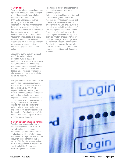### 7. System access

There is a formal user registration and deregistration procedure in place managed by the Global Security Administration function which is certified to ISO 27001:2013. Each process involves gaining sign off from the person responsible for the system then actioning the request in a manner that is fully auditable. Regular reviews of user access rights are performed to identify and remove any invalid or inactive accounts. All Experian employees have to comply with stated security practices in the selection and use of passwords. They are also responsible for ensuring that unattended equipment is adequately protected

Each user is given a uniquely assigned user ID, for authentication and accountability. Upon change of requirement, e.g. a change in employment status, access rights are immediately revoked or re-assigned upon notification. Inactive accounts are monitored and disabled after set periods of time unless prior arrangements have been made to explain the inactivity.

Privileged and administrative accounts are reserved solely for performing system maintenance and related administrative duties. These are reviewed more frequently and are subject to tighter controls. Experian uses authentication and authorisation mechanisms which are proportionate to the sensitivity of the data in the resource which they are protecting. For highly sensitive data Experian requires more than a single factor of authentication and may use location or time based controls to provide additional risk reductions. Experian has a two factor authentication solution in place to ensure all remote access is secure.

### 8. System development and maintenance

Experian has a framework in place to support management of risk at project level advocating that the process commences at project initiation; risks are initially identified via a formal workshop that includes the project stakeholders. The output from this is transferred onto a standard Risk Register template and each risk is assessed in order to determine its impact, probability of occurrence and therefore its priority for attention.

Risk mitigation activity is then considered, appropriate responses selected, and ownership agreed.

Subsequent review of the project risks and progress of mitigation actions is the responsibility of the project manager, and is an iterative process undertaken at predetermined intervals for the duration of the project (agreed with project sponsors), with ongoing input from the stakeholders. A mechanism for escalation of significant risks is agreed with the Project Sponsors at project initiation, and implemented by the Project Manager. Above project-level, the risk review process is conducted via formal risk forums across the enterprise; these take place at quarterly intervals to coincide with the Group Audit Committee schedule.

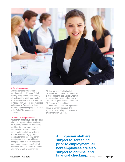

### 9. Security compliance

Experian periodically measures compliance with the Experian Global Security Policy via the Global Security Office. Experian's global security office works with business units to assess their compliance with Experian security policies and standards. The results of these assessments are aggregated and reported to the Global Risk Management Committee.

### 10. Personnel and provisioning

All Experian staff are subject to screening prior to employment, all new employees are also subject to criminal and financial checking. Screening processes are conducted to provide verification of identity and credentials, as well as to evaluate applicant integrity. Security considerations that support Experian security requirements are addressed through the hiring or contract initiation process and in descriptions of staff job accountabilities and responsibilities or in statements of work to be performed.

All roles are shadowed by backup personnel. Also, process and procedure is a strong additional facet used to underpin and ensure that knowledge is shared to remove single points of failure/excellence. All Experian staff are subject to confidentiality/non-disclosure agreements as part of standard contracts. The agreement extends beyond the period of employment with Experian.

> **All Experian staff are subject to screening prior to employment, all new employees are also subject to criminal and financial checking.**

**Construct Britan Britan Britan Britan Briefing | Version 3.2 | Page 7 | Client Briefing | Version 3.2 | Page 7**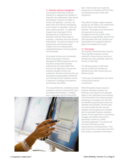### 11. Business continuity management

The purpose of Business Continuity Planning is to safeguard the interests of Experian's key stakeholders (both internal and external), to ensure our ability to comply with legislation, contracts, and other formal and informal commitments, and to protect our reputation, brand and value creating activities. To enable this Experian has a framework for the development and maintenance of Business Continuity Plans based on regulatory, contractual client and financial requirements. The plans are based on risk assessments and business impact analysis which are underpinned by established Business Continuity policies and procedures.

All business functions are incorporated within the Business Continuity Management (BCM) programme and are required to analyse their business requirements and clearly define their recovery time objectives to ensure their business criticality is known and understood. Business continuity plans are developed and appropriately maintained and exercised by their respective owners in response to changing circumstances and business risk profiles.

The Group BCM team undertakes periodic compliance reviews of individual BC plans and related documentation. In addition and in conjunction with the Group BCM

team, Internal Audit may include the assessment of compliance with the Policy and Standards as part of their work programme.

Group BCM manages a global exception process for use where a non-conformance with the Policy and/or Standards is identified. All exceptions are documented and approved by local senior management and Group BCM. Policy exceptions are appropriately rated and the risks associated with each exception are documented and managed through the global risk management process.

### 12. Third parties

The Experian Global Information Security Policy identifies numerous controls required for outsourcing any services or activities that could potentially impact the security of client data.

The following groups of information security controls and activities are deemed as key when outsourcing to an offshore partner:

- Third party risk identification and control
- Outsourcing contracts
- Governance

When third parties require access to Experian information systems and resources, this request is risk assessed based on the classification and sensitivity of the information that is being accessed, transferred or processed. Any risks that are identified by granting this access are identified and controlled. The third party must demonstrate that their security practices and procedures are consistent with the equivalent Experian standards. Access must be approved by a sponsoring manager and limited to that which is specifically covered by a written contractual agreement. The contract will document information security requirements as contractual terms. Third party access has a review date when third party access is reviewed for termination.

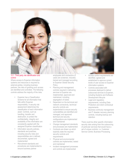

### 12.1. Third party risk identification and control

Where access to Experian information systems and resources is required by external parties, including business partners, the risks of granting such access are identified and controlled. The following controls address the majority of the risks:

- Experian has a Classification Scheme for all information that falls within Experian responsibility. A security risk assessment determines the classification of each information asset. Controls, such as handling, transfer and destruction, to protect the confidentiality, integrity and availability of the information are consistently applied with the assigned Experian classification
- Information security policies, standards and practices, including security roles and responsibilities are in defined, documented, agreed and implemented
- Recruitment standards and procedures are implemented to ensure business partner

employees and contractors (if used) are screened, inducted, trained and managed according to Experian Global Security **Policy** 

- Planning and management controls required in delivering services to Experian are implemented, approved and maintained, including segregation of duties
- Dependent on the technical and network connectivity, technical security controls are implemented to ensure security vulnerabilities are identified and managed, and approved technical and security configurations are implemented and maintained
- Change management standards and processes are implemented
- Contracts are drawn up which explicitly state the required security controls and requirements
- Physical and environmental controls are implemented, tested and maintained
- Incident management processes and controls are implemented
- Access control requirements are identified, agreed and established to approve correct levels of user access to Experian information systems
- Controls associated with processes deployed to deliver outsourced services to Experian, including Systems and Software Development lifecycle
- Legal and regulatory requirements, including Data Protection and client contractual requirements
- Business continuity management and IT disaster recovery planning controls, including backup and retention

There could be other specific information security risks arising from the outsourcing of particular services that would have a set of unique controls, i.e. Customer Service Centre; Business Processing.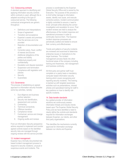### 12.2. Outsourcing contracts

A standard approach to identifying and applying information security controls within contracts is used, although this is adapted according to the type of outsourced service. The following contractual arrangements are generic throughout:

- Definitions and Interpretations
- Scope of agreement
- Transition and acceptance
- Experian's assets and premises
- How the services are to be provided
- Retention of documentation and audit
- Correction plans, fraud, conflict of interest and Escrow
- Additional obligations of the parties and liability
- Intellectual property and confidentiality
- Escalation and dispute resolution
- Suspension and termination
- Compliance with legislation and policies
- **Security**
- **Guarantees**

### 12.3. Governance

The process of establishing an agreed approach to information security includes some key activities, namely:

- 1. Due diligence and business partner selection
- 2. Security risk identification, assessment and controls
- 3. Contracting
- 4. Technical connectivity
- 5. Offshore transition
- 6. Compliance review
- 7. Contractual, service and change management
- 8. Ongoing audits and reviews

From an Information Security perspective actions required to implement and monitor agreed controls based on the identified security risks are managed through ongoing reviews with the service provider.

### 13. Incident management

Experian has a formally documented riskbased incident management process to respond to security violations, unusual or suspicious events and incidents. This

process is coordinated by the Experian Global Security Office and is owned by the Executive. The purpose of this process is to limit further damage to information assets, identify root cause, and execute corrective actions. Incident communication is tightly controlled to ensure a 'need to know' principle while allowing the correct investigation and escalation to occur. Post incident reviews are held to analyse the effectiveness of the incident response and operational processes in order to continually improve them. The Experian incident response processes are periodically audited and tested to ensure their currency and effectiveness.

Trends and patterns of security incidents are reviewed and examined to determine enterprise issues or implications to the larger business. The incident management process feeds into other functional areas of the company including training and Awareness, risk management and business continuity.

All third party and partner staff must complete on a yearly basis a mandatory computer based information security training which covers recognising and reporting security incidents. This training is backed up with targeted awareness activities such as presentations, intranet articles and specialised training for staff in key positions on how to identify role specific incidents.

### 14. Data transfer standards

As a global provider of information solutions we continuously assess information threats and industry trends based upon The Experian Global Security Policy and we have identified a need to clearly define the controls and standards required for information exchanges between Experian, our clients, and other third party organisations.

This identifies the mechanisms currently approved for information exchange between our clients and Experian.

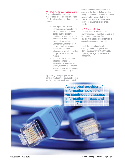### 14.1. Data transfer security requirements

The principles of information security management define the requirements for effective information protection and these include;

- Non-repudiation When transferring any information the system must ensure that the sender and recipient are confident that any other party is known and trusted and there is evidence to prove this
- Confidentiality/Integrity Both parties in such an exchange require assurance that information is stored, transmitted and processed in a secure manner
- Audit For the assurance of information integrity all information transfer must be suitably recorded to ensure that key events from any transfer can be evaluated in a timely manner.

By applying these principles secure transfer of data can be achieved by either sending the data through an encrypted

network communication channel or by encrypting the data file before sending along an unencrypted channel. All network communication types including the Internet can be provided with suitable encryption solutions to allow for data transfer.

### 14.2. Data classification

Any data that is to be transferred or exchanged must be classified according to its value and importance. Each classification attracts specific controls to adequately manage and secure it.

For all data being transferred or exchanged between Experian and our clients (i.e. Experian to Client/Client to Experian), we regard that data to be confidential.

**As a global provider of information solutions we continuously assess information threats and industry trends**